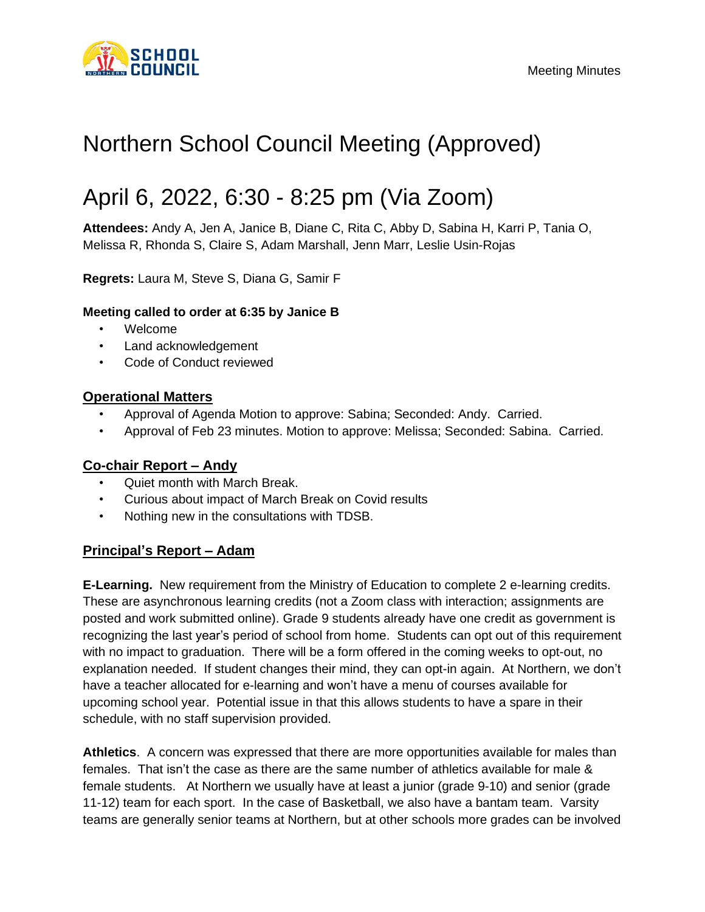

# Northern School Council Meeting (Approved)

## April 6, 2022, 6:30 - 8:25 pm (Via Zoom)

**Attendees:** Andy A, Jen A, Janice B, Diane C, Rita C, Abby D, Sabina H, Karri P, Tania O, Melissa R, Rhonda S, Claire S, Adam Marshall, Jenn Marr, Leslie Usin-Rojas

**Regrets:** Laura M, Steve S, Diana G, Samir F

## **Meeting called to order at 6:35 by Janice B**

- Welcome
- Land acknowledgement
- Code of Conduct reviewed

## **Operational Matters**

- Approval of Agenda Motion to approve: Sabina; Seconded: Andy. Carried.
- Approval of Feb 23 minutes. Motion to approve: Melissa; Seconded: Sabina. Carried.

## **Co-chair Report – Andy**

- Quiet month with March Break.
- Curious about impact of March Break on Covid results
- Nothing new in the consultations with TDSB.

## **Principal's Report – Adam**

**E-Learning.** New requirement from the Ministry of Education to complete 2 e-learning credits. These are asynchronous learning credits (not a Zoom class with interaction; assignments are posted and work submitted online). Grade 9 students already have one credit as government is recognizing the last year's period of school from home. Students can opt out of this requirement with no impact to graduation. There will be a form offered in the coming weeks to opt-out, no explanation needed. If student changes their mind, they can opt-in again. At Northern, we don't have a teacher allocated for e-learning and won't have a menu of courses available for upcoming school year. Potential issue in that this allows students to have a spare in their schedule, with no staff supervision provided.

**Athletics**. A concern was expressed that there are more opportunities available for males than females. That isn't the case as there are the same number of athletics available for male & female students. At Northern we usually have at least a junior (grade 9-10) and senior (grade 11-12) team for each sport. In the case of Basketball, we also have a bantam team. Varsity teams are generally senior teams at Northern, but at other schools more grades can be involved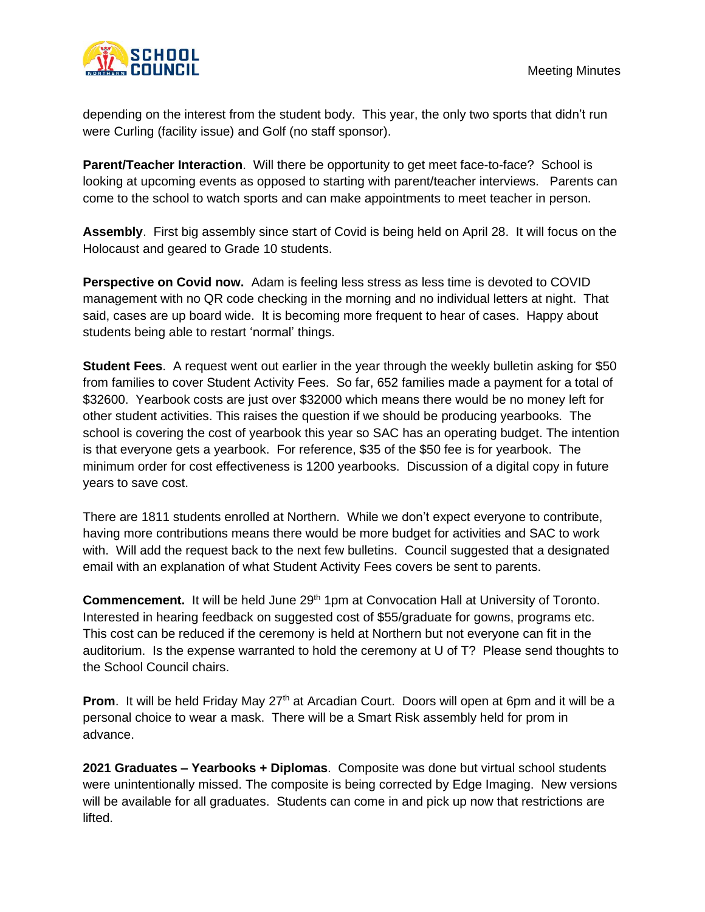

depending on the interest from the student body. This year, the only two sports that didn't run were Curling (facility issue) and Golf (no staff sponsor).

**Parent/Teacher Interaction**. Will there be opportunity to get meet face-to-face? School is looking at upcoming events as opposed to starting with parent/teacher interviews. Parents can come to the school to watch sports and can make appointments to meet teacher in person.

**Assembly**. First big assembly since start of Covid is being held on April 28. It will focus on the Holocaust and geared to Grade 10 students.

**Perspective on Covid now.** Adam is feeling less stress as less time is devoted to COVID management with no QR code checking in the morning and no individual letters at night. That said, cases are up board wide. It is becoming more frequent to hear of cases. Happy about students being able to restart 'normal' things.

**Student Fees**. A request went out earlier in the year through the weekly bulletin asking for \$50 from families to cover Student Activity Fees. So far, 652 families made a payment for a total of \$32600. Yearbook costs are just over \$32000 which means there would be no money left for other student activities. This raises the question if we should be producing yearbooks. The school is covering the cost of yearbook this year so SAC has an operating budget. The intention is that everyone gets a yearbook. For reference, \$35 of the \$50 fee is for yearbook. The minimum order for cost effectiveness is 1200 yearbooks. Discussion of a digital copy in future years to save cost.

There are 1811 students enrolled at Northern. While we don't expect everyone to contribute, having more contributions means there would be more budget for activities and SAC to work with. Will add the request back to the next few bulletins. Council suggested that a designated email with an explanation of what Student Activity Fees covers be sent to parents.

**Commencement.** It will be held June 29<sup>th</sup> 1pm at Convocation Hall at University of Toronto. Interested in hearing feedback on suggested cost of \$55/graduate for gowns, programs etc. This cost can be reduced if the ceremony is held at Northern but not everyone can fit in the auditorium. Is the expense warranted to hold the ceremony at U of T? Please send thoughts to the School Council chairs.

**Prom.** It will be held Friday May 27<sup>th</sup> at Arcadian Court. Doors will open at 6pm and it will be a personal choice to wear a mask. There will be a Smart Risk assembly held for prom in advance.

**2021 Graduates – Yearbooks + Diplomas**. Composite was done but virtual school students were unintentionally missed. The composite is being corrected by Edge Imaging. New versions will be available for all graduates. Students can come in and pick up now that restrictions are lifted.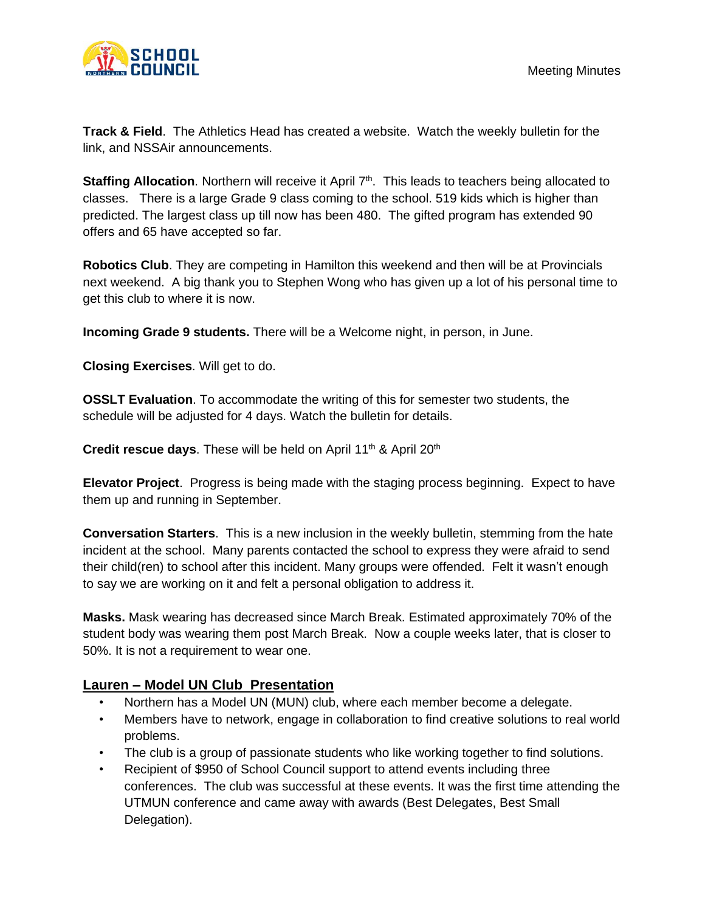

**Track & Field**. The Athletics Head has created a website. Watch the weekly bulletin for the link, and NSSAir announcements.

Staffing Allocation. Northern will receive it April 7<sup>th</sup>. This leads to teachers being allocated to classes. There is a large Grade 9 class coming to the school. 519 kids which is higher than predicted. The largest class up till now has been 480. The gifted program has extended 90 offers and 65 have accepted so far.

**Robotics Club**. They are competing in Hamilton this weekend and then will be at Provincials next weekend. A big thank you to Stephen Wong who has given up a lot of his personal time to get this club to where it is now.

**Incoming Grade 9 students.** There will be a Welcome night, in person, in June.

**Closing Exercises**. Will get to do.

**OSSLT Evaluation**. To accommodate the writing of this for semester two students, the schedule will be adjusted for 4 days. Watch the bulletin for details.

**Credit rescue days**. These will be held on April 11<sup>th</sup> & April 20<sup>th</sup>

**Elevator Project**. Progress is being made with the staging process beginning. Expect to have them up and running in September.

**Conversation Starters**. This is a new inclusion in the weekly bulletin, stemming from the hate incident at the school. Many parents contacted the school to express they were afraid to send their child(ren) to school after this incident. Many groups were offended. Felt it wasn't enough to say we are working on it and felt a personal obligation to address it.

**Masks.** Mask wearing has decreased since March Break. Estimated approximately 70% of the student body was wearing them post March Break. Now a couple weeks later, that is closer to 50%. It is not a requirement to wear one.

## **Lauren – Model UN Club Presentation**

- Northern has a Model UN (MUN) club, where each member become a delegate.
- Members have to network, engage in collaboration to find creative solutions to real world problems.
- The club is a group of passionate students who like working together to find solutions.
- Recipient of \$950 of School Council support to attend events including three conferences. The club was successful at these events. It was the first time attending the UTMUN conference and came away with awards (Best Delegates, Best Small Delegation).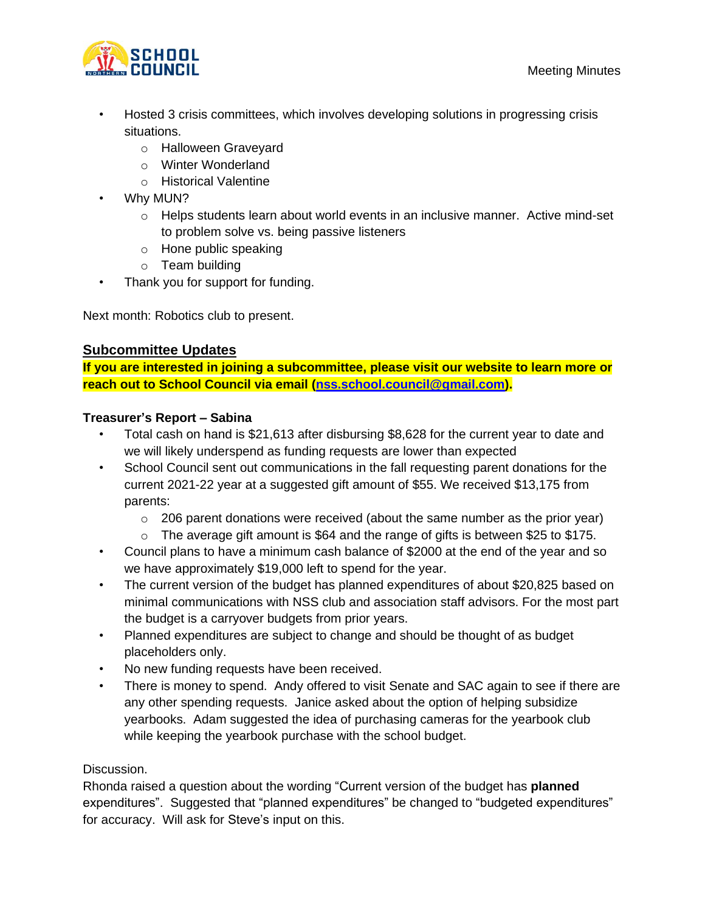

- Hosted 3 crisis committees, which involves developing solutions in progressing crisis situations.
	- o Halloween Graveyard
	- o Winter Wonderland
	- o Historical Valentine
- Why MUN?
	- $\circ$  Helps students learn about world events in an inclusive manner. Active mind-set to problem solve vs. being passive listeners
	- o Hone public speaking
	- o Team building
- Thank you for support for funding.

Next month: Robotics club to present.

## **Subcommittee Updates**

**If you are interested in joining a subcommittee, please visit our website to learn more or reach out to School Council via email ([nss.school.council@gmail.com](mailto:nss.school.council@gmail.com)).** 

## **Treasurer's Report – Sabina**

- Total cash on hand is \$21,613 after disbursing \$8,628 for the current year to date and we will likely underspend as funding requests are lower than expected
- School Council sent out communications in the fall requesting parent donations for the current 2021-22 year at a suggested gift amount of \$55. We received \$13,175 from parents:
	- $\circ$  206 parent donations were received (about the same number as the prior year)
	- $\circ$  The average gift amount is \$64 and the range of gifts is between \$25 to \$175.
- Council plans to have a minimum cash balance of \$2000 at the end of the year and so we have approximately \$19,000 left to spend for the year.
- The current version of the budget has planned expenditures of about \$20,825 based on minimal communications with NSS club and association staff advisors. For the most part the budget is a carryover budgets from prior years.
- Planned expenditures are subject to change and should be thought of as budget placeholders only.
- No new funding requests have been received.
- There is money to spend. Andy offered to visit Senate and SAC again to see if there are any other spending requests. Janice asked about the option of helping subsidize yearbooks. Adam suggested the idea of purchasing cameras for the yearbook club while keeping the yearbook purchase with the school budget.

## Discussion.

Rhonda raised a question about the wording "Current version of the budget has **planned** expenditures". Suggested that "planned expenditures" be changed to "budgeted expenditures" for accuracy. Will ask for Steve's input on this.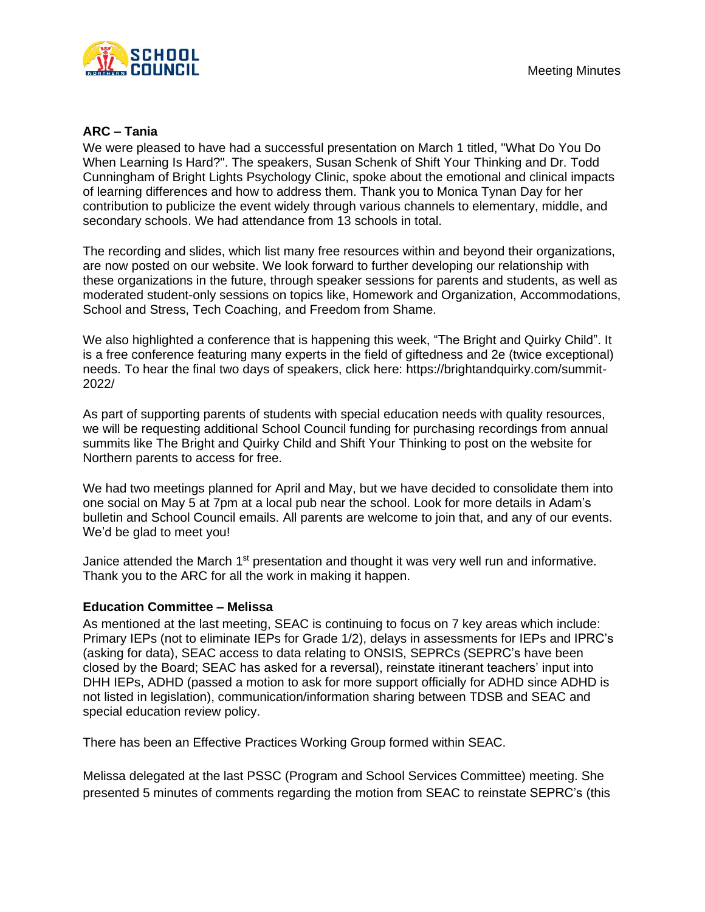

#### **ARC – Tania**

We were pleased to have had a successful presentation on March 1 titled, "What Do You Do When Learning Is Hard?". The speakers, Susan Schenk of Shift Your Thinking and Dr. Todd Cunningham of Bright Lights Psychology Clinic, spoke about the emotional and clinical impacts of learning differences and how to address them. Thank you to Monica Tynan Day for her contribution to publicize the event widely through various channels to elementary, middle, and secondary schools. We had attendance from 13 schools in total.

The recording and slides, which list many free resources within and beyond their organizations, are now posted on our website. We look forward to further developing our relationship with these organizations in the future, through speaker sessions for parents and students, as well as moderated student-only sessions on topics like, Homework and Organization, Accommodations, School and Stress, Tech Coaching, and Freedom from Shame.

We also highlighted a conference that is happening this week, "The Bright and Quirky Child". It is a free conference featuring many experts in the field of giftedness and 2e (twice exceptional) needs. To hear the final two days of speakers, click here: https://brightandquirky.com/summit-2022/

As part of supporting parents of students with special education needs with quality resources, we will be requesting additional School Council funding for purchasing recordings from annual summits like The Bright and Quirky Child and Shift Your Thinking to post on the website for Northern parents to access for free.

We had two meetings planned for April and May, but we have decided to consolidate them into one social on May 5 at 7pm at a local pub near the school. Look for more details in Adam's bulletin and School Council emails. All parents are welcome to join that, and any of our events. We'd be glad to meet you!

Janice attended the March 1<sup>st</sup> presentation and thought it was very well run and informative. Thank you to the ARC for all the work in making it happen.

#### **Education Committee – Melissa**

As mentioned at the last meeting, SEAC is continuing to focus on 7 key areas which include: Primary IEPs (not to eliminate IEPs for Grade 1/2), delays in assessments for IEPs and IPRC's (asking for data), SEAC access to data relating to ONSIS, SEPRCs (SEPRC's have been closed by the Board; SEAC has asked for a reversal), reinstate itinerant teachers' input into DHH IEPs, ADHD (passed a motion to ask for more support officially for ADHD since ADHD is not listed in legislation), communication/information sharing between TDSB and SEAC and special education review policy.

There has been an Effective Practices Working Group formed within SEAC.

Melissa delegated at the last PSSC (Program and School Services Committee) meeting. She presented 5 minutes of comments regarding the motion from SEAC to reinstate SEPRC's (this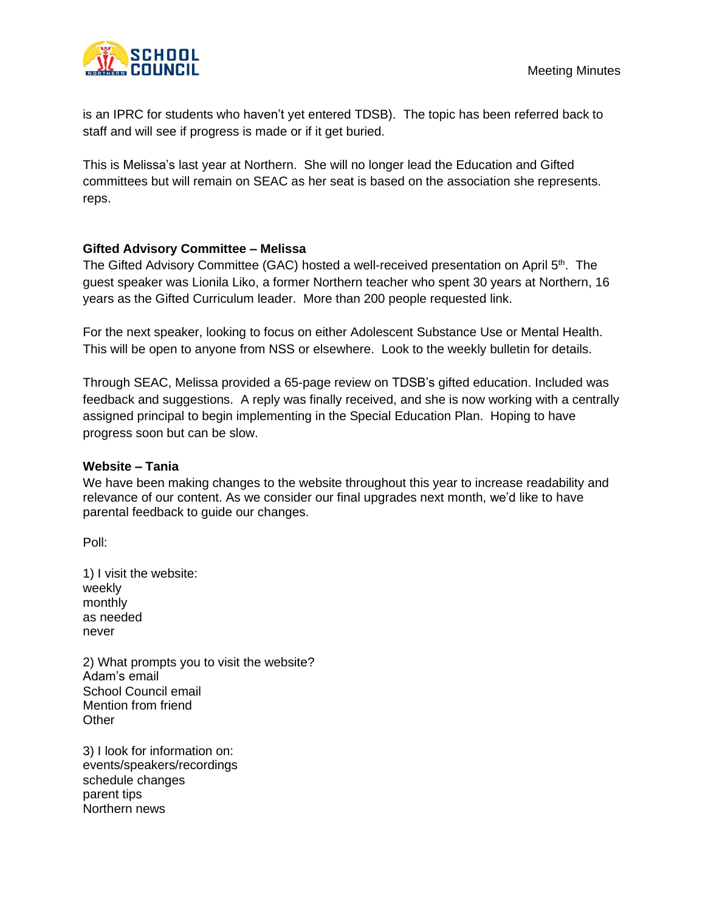

is an IPRC for students who haven't yet entered TDSB). The topic has been referred back to staff and will see if progress is made or if it get buried.

This is Melissa's last year at Northern. She will no longer lead the Education and Gifted committees but will remain on SEAC as her seat is based on the association she represents. reps.

## **Gifted Advisory Committee – Melissa**

The Gifted Advisory Committee (GAC) hosted a well-received presentation on April 5<sup>th</sup>. The guest speaker was Lionila Liko, a former Northern teacher who spent 30 years at Northern, 16 years as the Gifted Curriculum leader. More than 200 people requested link.

For the next speaker, looking to focus on either Adolescent Substance Use or Mental Health. This will be open to anyone from NSS or elsewhere. Look to the weekly bulletin for details.

Through SEAC, Melissa provided a 65-page review on TDSB's gifted education. Included was feedback and suggestions. A reply was finally received, and she is now working with a centrally assigned principal to begin implementing in the Special Education Plan. Hoping to have progress soon but can be slow.

#### **Website – Tania**

We have been making changes to the website throughout this year to increase readability and relevance of our content. As we consider our final upgrades next month, we'd like to have parental feedback to guide our changes.

Poll:

1) I visit the website: weekly monthly as needed never

2) What prompts you to visit the website? Adam's email School Council email Mention from friend **Other** 

3) I look for information on: events/speakers/recordings schedule changes parent tips Northern news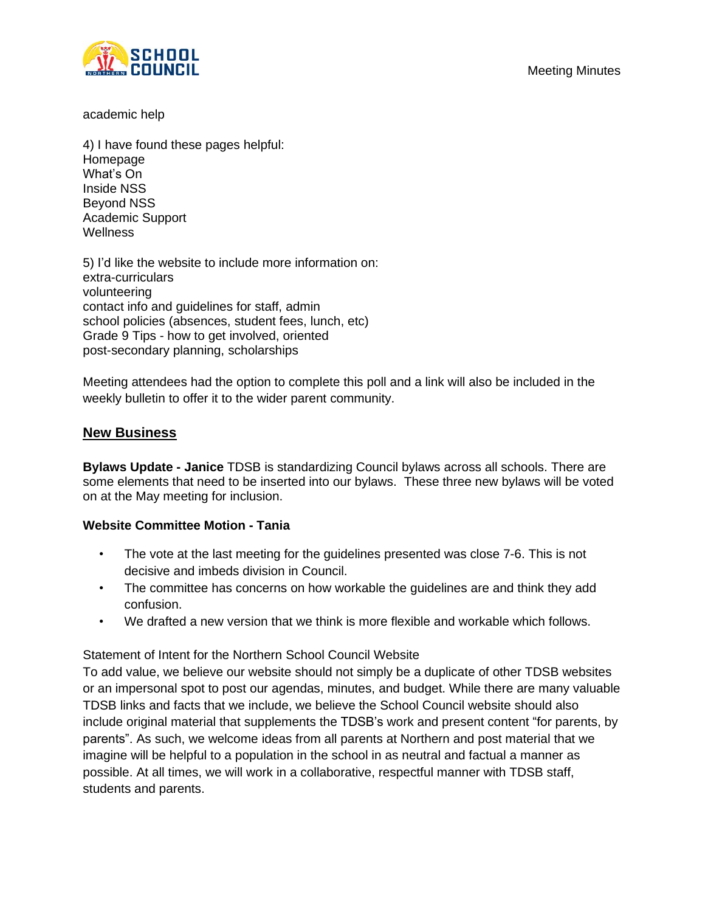

academic help

4) I have found these pages helpful: Homepage What's On Inside NSS Beyond NSS Academic Support Wellness

5) I'd like the website to include more information on: extra-curriculars volunteering contact info and guidelines for staff, admin school policies (absences, student fees, lunch, etc) Grade 9 Tips - how to get involved, oriented post-secondary planning, scholarships

Meeting attendees had the option to complete this poll and a link will also be included in the weekly bulletin to offer it to the wider parent community.

## **New Business**

**Bylaws Update - Janice** TDSB is standardizing Council bylaws across all schools. There are some elements that need to be inserted into our bylaws. These three new bylaws will be voted on at the May meeting for inclusion.

## **Website Committee Motion - Tania**

- The vote at the last meeting for the guidelines presented was close 7-6. This is not decisive and imbeds division in Council.
- The committee has concerns on how workable the guidelines are and think they add confusion.
- We drafted a new version that we think is more flexible and workable which follows.

## Statement of Intent for the Northern School Council Website

To add value, we believe our website should not simply be a duplicate of other TDSB websites or an impersonal spot to post our agendas, minutes, and budget. While there are many valuable TDSB links and facts that we include, we believe the School Council website should also include original material that supplements the TDSB's work and present content "for parents, by parents". As such, we welcome ideas from all parents at Northern and post material that we imagine will be helpful to a population in the school in as neutral and factual a manner as possible. At all times, we will work in a collaborative, respectful manner with TDSB staff, students and parents.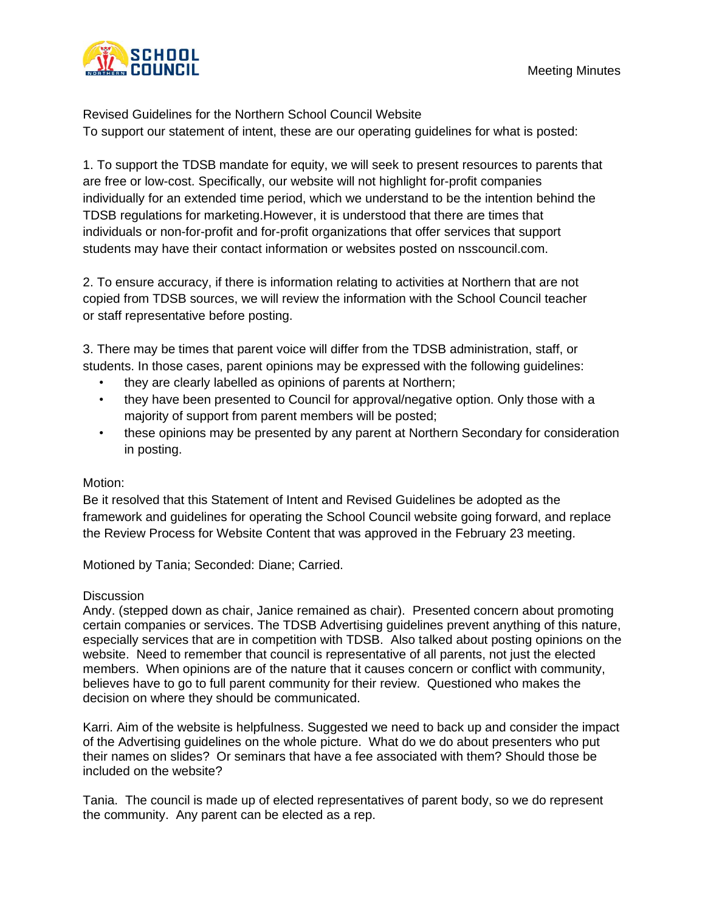

Revised Guidelines for the Northern School Council Website To support our statement of intent, these are our operating guidelines for what is posted:

1. To support the TDSB mandate for equity, we will seek to present resources to parents that are free or low-cost. Specifically, our website will not highlight for-profit companies individually for an extended time period, which we understand to be the intention behind the TDSB regulations for marketing.However, it is understood that there are times that individuals or non-for-profit and for-profit organizations that offer services that support students may have their contact information or websites posted on nsscouncil.com.

2. To ensure accuracy, if there is information relating to activities at Northern that are not copied from TDSB sources, we will review the information with the School Council teacher or staff representative before posting.

3. There may be times that parent voice will differ from the TDSB administration, staff, or students. In those cases, parent opinions may be expressed with the following guidelines:

- they are clearly labelled as opinions of parents at Northern;
- they have been presented to Council for approval/negative option. Only those with a majority of support from parent members will be posted;
- these opinions may be presented by any parent at Northern Secondary for consideration in posting.

## Motion:

Be it resolved that this Statement of Intent and Revised Guidelines be adopted as the framework and guidelines for operating the School Council website going forward, and replace the Review Process for Website Content that was approved in the February 23 meeting.

Motioned by Tania; Seconded: Diane; Carried.

## **Discussion**

Andy. (stepped down as chair, Janice remained as chair). Presented concern about promoting certain companies or services. The TDSB Advertising guidelines prevent anything of this nature, especially services that are in competition with TDSB. Also talked about posting opinions on the website. Need to remember that council is representative of all parents, not just the elected members. When opinions are of the nature that it causes concern or conflict with community, believes have to go to full parent community for their review. Questioned who makes the decision on where they should be communicated.

Karri. Aim of the website is helpfulness. Suggested we need to back up and consider the impact of the Advertising guidelines on the whole picture. What do we do about presenters who put their names on slides? Or seminars that have a fee associated with them? Should those be included on the website?

Tania. The council is made up of elected representatives of parent body, so we do represent the community. Any parent can be elected as a rep.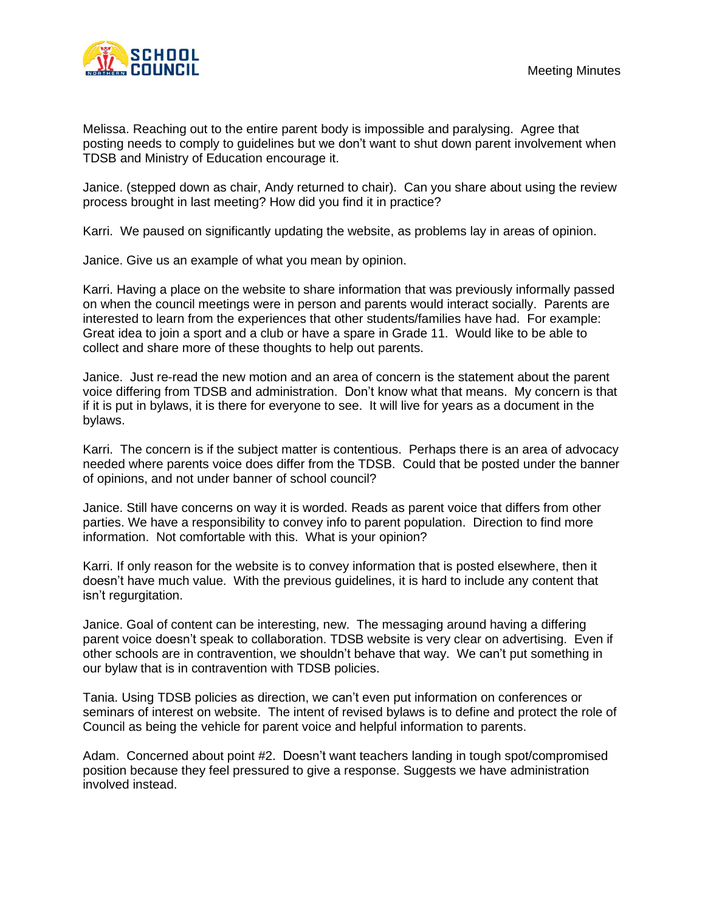

Melissa. Reaching out to the entire parent body is impossible and paralysing. Agree that posting needs to comply to guidelines but we don't want to shut down parent involvement when TDSB and Ministry of Education encourage it.

Janice. (stepped down as chair, Andy returned to chair). Can you share about using the review process brought in last meeting? How did you find it in practice?

Karri. We paused on significantly updating the website, as problems lay in areas of opinion.

Janice. Give us an example of what you mean by opinion.

Karri. Having a place on the website to share information that was previously informally passed on when the council meetings were in person and parents would interact socially. Parents are interested to learn from the experiences that other students/families have had. For example: Great idea to join a sport and a club or have a spare in Grade 11. Would like to be able to collect and share more of these thoughts to help out parents.

Janice. Just re-read the new motion and an area of concern is the statement about the parent voice differing from TDSB and administration. Don't know what that means. My concern is that if it is put in bylaws, it is there for everyone to see. It will live for years as a document in the bylaws.

Karri. The concern is if the subject matter is contentious. Perhaps there is an area of advocacy needed where parents voice does differ from the TDSB. Could that be posted under the banner of opinions, and not under banner of school council?

Janice. Still have concerns on way it is worded. Reads as parent voice that differs from other parties. We have a responsibility to convey info to parent population. Direction to find more information. Not comfortable with this. What is your opinion?

Karri. If only reason for the website is to convey information that is posted elsewhere, then it doesn't have much value. With the previous guidelines, it is hard to include any content that isn't regurgitation.

Janice. Goal of content can be interesting, new. The messaging around having a differing parent voice doesn't speak to collaboration. TDSB website is very clear on advertising. Even if other schools are in contravention, we shouldn't behave that way. We can't put something in our bylaw that is in contravention with TDSB policies.

Tania. Using TDSB policies as direction, we can't even put information on conferences or seminars of interest on website. The intent of revised bylaws is to define and protect the role of Council as being the vehicle for parent voice and helpful information to parents.

Adam. Concerned about point #2. Doesn't want teachers landing in tough spot/compromised position because they feel pressured to give a response. Suggests we have administration involved instead.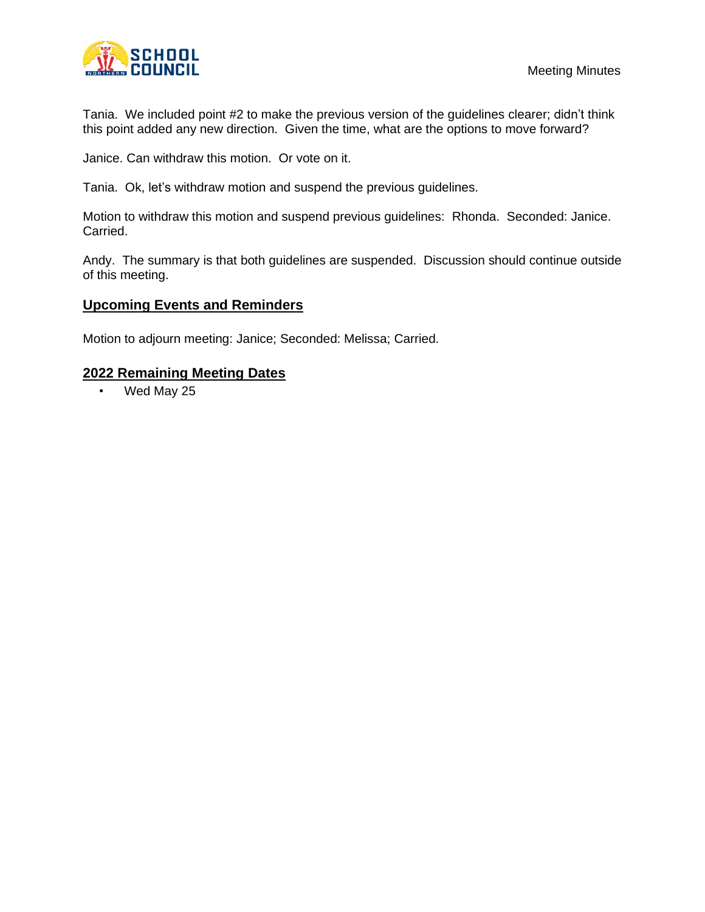

Tania. We included point #2 to make the previous version of the guidelines clearer; didn't think this point added any new direction. Given the time, what are the options to move forward?

Janice. Can withdraw this motion. Or vote on it.

Tania. Ok, let's withdraw motion and suspend the previous guidelines.

Motion to withdraw this motion and suspend previous guidelines: Rhonda. Seconded: Janice. Carried.

Andy. The summary is that both guidelines are suspended. Discussion should continue outside of this meeting.

## **Upcoming Events and Reminders**

Motion to adjourn meeting: Janice; Seconded: Melissa; Carried.

#### **2022 Remaining Meeting Dates**

• Wed May 25